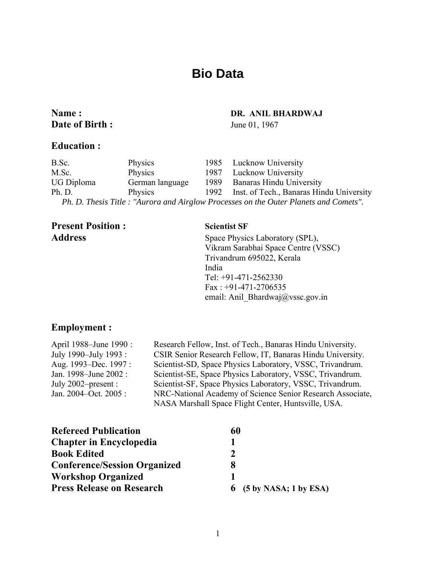# **Bio Data**

## **Name : DR. ANIL BHARDWAJ Date of Birth :** June 01, 1967

#### **Education :**

### B.Sc. Physics 1985 Lucknow University M.Sc. Physics 1987 Lucknow University UG Diploma German language 1989 Banaras Hindu University Ph. D. Physics 1992 Inst. of Tech., Banaras Hindu University  *Ph. D. Thesis Title : "Aurora and Airglow Processes on the Outer Planets and Comets".*

# **Present Position : Scientist SF**

Address Space Physics Laboratory (SPL), Vikram Sarabhai Space Centre (VSSC) Trivandrum 695022, Kerala India Tel: +91-471-2562330 Fax : +91-471-2706535 email: Anil\_Bhardwaj@vssc.gov.in

## **Employment :**

| April 1988–June 1990 : | Research Fellow, Inst. of Tech., Banaras Hindu University. |  |
|------------------------|------------------------------------------------------------|--|
| July 1990–July 1993 :  | CSIR Senior Research Fellow, IT, Banaras Hindu University. |  |
| Aug. 1993–Dec. 1997:   | Scientist-SD, Space Physics Laboratory, VSSC, Trivandrum.  |  |
| Jan. 1998–June 2002 :  | Scientist-SE, Space Physics Laboratory, VSSC, Trivandrum.  |  |
| July $2002$ -present : | Scientist-SF, Space Physics Laboratory, VSSC, Trivandrum.  |  |
| Jan. 2004–Oct. 2005:   | NRC-National Academy of Science Senior Research Associate, |  |
|                        | NASA Marshall Space Flight Center, Huntsville, USA.        |  |

| <b>Refereed Publication</b>         | 60                        |
|-------------------------------------|---------------------------|
| <b>Chapter in Encyclopedia</b>      |                           |
| <b>Book Edited</b>                  | $\mathcal{D}$             |
| <b>Conference/Session Organized</b> |                           |
| <b>Workshop Organized</b>           |                           |
| <b>Press Release on Research</b>    | $6$ (5 by NASA; 1 by ESA) |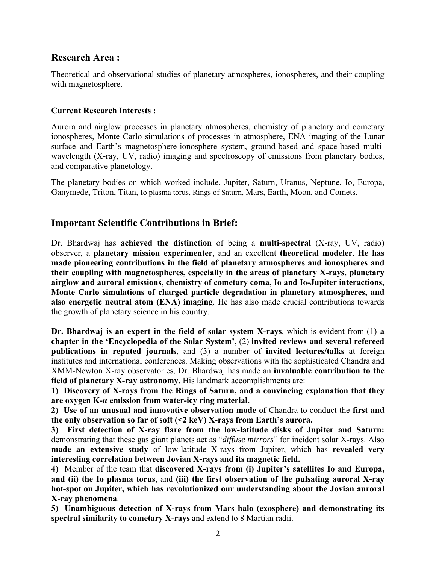## **Research Area :**

Theoretical and observational studies of planetary atmospheres, ionospheres, and their coupling with magnetosphere.

### **Current Research Interests :**

Aurora and airglow processes in planetary atmospheres, chemistry of planetary and cometary ionospheres, Monte Carlo simulations of processes in atmosphere, ENA imaging of the Lunar surface and Earth's magnetosphere-ionosphere system, ground-based and space-based multiwavelength (X-ray, UV, radio) imaging and spectroscopy of emissions from planetary bodies, and comparative planetology.

The planetary bodies on which worked include, Jupiter, Saturn, Uranus, Neptune, Io, Europa, Ganymede, Triton, Titan, Io plasma torus, Rings of Saturn, Mars, Earth, Moon, and Comets.

# **Important Scientific Contributions in Brief:**

Dr. Bhardwaj has **achieved the distinction** of being a **multi-spectral** (X-ray, UV, radio) observer, a **planetary mission experimenter**, and an excellent **theoretical modeler**. **He has made pioneering contributions in the field of planetary atmospheres and ionospheres and their coupling with magnetospheres, especially in the areas of planetary X-rays, planetary airglow and auroral emissions, chemistry of cometary coma, Io and Io-Jupiter interactions, Monte Carlo simulations of charged particle degradation in planetary atmospheres, and also energetic neutral atom (ENA) imaging**. He has also made crucial contributions towards the growth of planetary science in his country.

**Dr. Bhardwaj is an expert in the field of solar system X-rays**, which is evident from (1) **a chapter in the 'Encyclopedia of the Solar System'**, (2) **invited reviews and several refereed publications in reputed journals**, and (3) a number of **invited lectures/talks** at foreign institutes and international conferences. Making observations with the sophisticated Chandra and XMM-Newton X-ray observatories, Dr. Bhardwaj has made an **invaluable contribution to the field of planetary X-ray astronomy.** His landmark accomplishments are:

**1) Discovery of X-rays from the Rings of Saturn, and a convincing explanation that they are oxygen K-α emission from water-icy ring material.**

**2) Use of an unusual and innovative observation mode of** Chandra to conduct the **first and the only observation so far of soft (<2 keV) X-rays from Earth's aurora.** 

**3) First detection of X-ray flare from the low-latitude disks of Jupiter and Saturn:** demonstrating that these gas giant planets act as "*diffuse mirrors*" for incident solar X-rays. Also **made an extensive study** of low-latitude X-rays from Jupiter, which has **revealed very interesting correlation between Jovian X-rays and its magnetic field.**

**4)** Member of the team that **discovered X-rays from (i) Jupiter's satellites Io and Europa, and (ii) the Io plasma torus**, and **(iii) the first observation of the pulsating auroral X-ray hot-spot on Jupiter, which has revolutionized our understanding about the Jovian auroral X-ray phenomena**.

**5) Unambiguous detection of X-rays from Mars halo (exosphere) and demonstrating its spectral similarity to cometary X-rays** and extend to 8 Martian radii.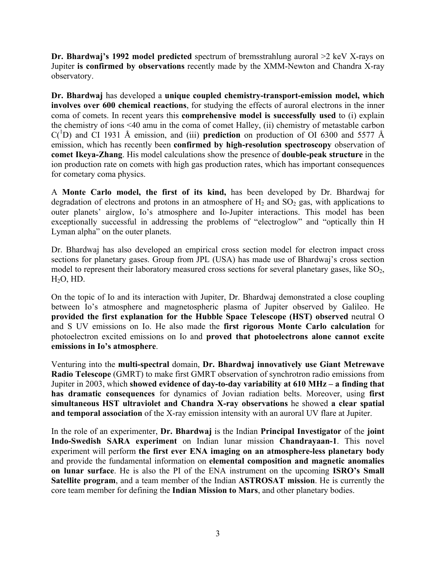**Dr. Bhardwaj's 1992 model predicted** spectrum of bremsstrahlung auroral >2 keV X-rays on Jupiter **is confirmed by observations** recently made by the XMM-Newton and Chandra X-ray observatory.

**Dr. Bhardwaj** has developed a **unique coupled chemistry-transport-emission model, which involves over 600 chemical reactions**, for studying the effects of auroral electrons in the inner coma of comets. In recent years this **comprehensive model is successfully used** to (i) explain the chemistry of ions <40 amu in the coma of comet Halley, (ii) chemistry of metastable carbon  $C(^1D)$  and CI 1931 Å emission, and (iii) **prediction** on production of OI 6300 and 5577 Å emission, which has recently been **confirmed by high-resolution spectroscopy** observation of **comet Ikeya-Zhang**. His model calculations show the presence of **double-peak structure** in the ion production rate on comets with high gas production rates, which has important consequences for cometary coma physics.

A **Monte Carlo model, the first of its kind,** has been developed by Dr. Bhardwaj for degradation of electrons and protons in an atmosphere of  $H_2$  and  $SO_2$  gas, with applications to outer planets' airglow, Io's atmosphere and Io-Jupiter interactions. This model has been exceptionally successful in addressing the problems of "electroglow" and "optically thin H Lyman alpha" on the outer planets.

Dr. Bhardwaj has also developed an empirical cross section model for electron impact cross sections for planetary gases. Group from JPL (USA) has made use of Bhardwaj's cross section model to represent their laboratory measured cross sections for several planetary gases, like  $SO<sub>2</sub>$ ,  $H<sub>2</sub>O$ ,  $HD$ .

On the topic of Io and its interaction with Jupiter, Dr. Bhardwaj demonstrated a close coupling between Io's atmosphere and magnetospheric plasma of Jupiter observed by Galileo. He **provided the first explanation for the Hubble Space Telescope (HST) observed** neutral O and S UV emissions on Io. He also made the **first rigorous Monte Carlo calculation** for photoelectron excited emissions on Io and **proved that photoelectrons alone cannot excite emissions in Io's atmosphere**.

Venturing into the **multi-spectral** domain, **Dr. Bhardwaj innovatively use Giant Metrewave Radio Telescope** (GMRT) to make first GMRT observation of synchrotron radio emissions from Jupiter in 2003, which **showed evidence of day-to-day variability at 610 MHz – a finding that has dramatic consequences** for dynamics of Jovian radiation belts. Moreover, using **first simultaneous HST ultraviolet and Chandra X-ray observations** he showed **a clear spatial and temporal association** of the X-ray emission intensity with an auroral UV flare at Jupiter.

In the role of an experimenter, **Dr. Bhardwaj** is the Indian **Principal Investigator** of the **joint Indo-Swedish SARA experiment** on Indian lunar mission **Chandrayaan-1**. This novel experiment will perform **the first ever ENA imaging on an atmosphere-less planetary body**  and provide the fundamental information on **elemental composition and magnetic anomalies on lunar surface**. He is also the PI of the ENA instrument on the upcoming **ISRO's Small Satellite program**, and a team member of the Indian **ASTROSAT mission**. He is currently the core team member for defining the **Indian Mission to Mars**, and other planetary bodies.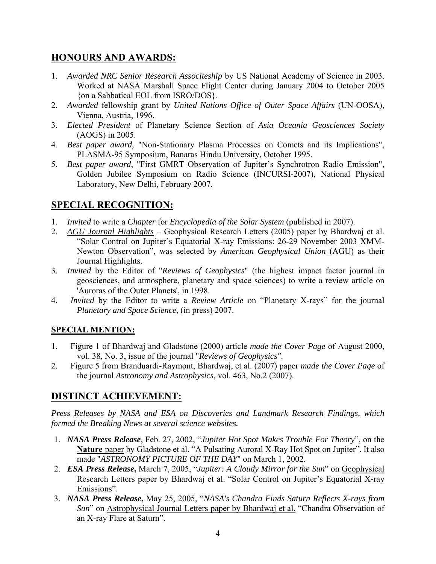# **HONOURS AND AWARDS:**

- 1. *Awarded NRC Senior Research Associteship* by US National Academy of Science in 2003. Worked at NASA Marshall Space Flight Center during January 2004 to October 2005 {on a Sabbatical EOL from ISRO/DOS}.
- 2. *Awarded* fellowship grant by *United Nations Office of Outer Space Affairs* (UN-OOSA)*,*  Vienna, Austria, 1996.
- 3. *Elected President* of Planetary Science Section of *Asia Oceania Geosciences Society* (AOGS) in 2005.
- 4. *Best paper award,* "Non-Stationary Plasma Processes on Comets and its Implications", PLASMA-95 Symposium, Banaras Hindu University, October 1995.
- 5. *Best paper award*, "First GMRT Observation of Jupiter's Synchrotron Radio Emission", Golden Jubilee Symposium on Radio Science (INCURSI-2007), National Physical Laboratory, New Delhi, February 2007.

# **SPECIAL RECOGNITION:**

- 1. *Invited* to write a *Chapter* for *Encyclopedia of the Solar System* (published in 2007).
- 2. *AGU Journal Highlights* Geophysical Research Letters (2005) paper by Bhardwaj et al. "Solar Control on Jupiter's Equatorial X-ray Emissions: 26-29 November 2003 XMM-Newton Observation", was selected by *American Geophysical Union* (AGU) as their Journal Highlights.
- 3. *Invited* by the Editor of "*Reviews of Geophysics*" (the highest impact factor journal in geosciences, and atmosphere, planetary and space sciences) to write a review article on 'Auroras of the Outer Planets', in 1998.
- 4. *Invited* by the Editor to write a *Review Article* on "Planetary X-rays" for the journal *Planetary and Space Science*, (in press) 2007.

## **SPECIAL MENTION:**

- 1. Figure 1 of Bhardwaj and Gladstone (2000) article *made the Cover Page* of August 2000, vol. 38, No. 3, issue of the journal "*Reviews of Geophysics"*.
- 2. Figure 5 from Branduardi-Raymont, Bhardwaj, et al. (2007) paper *made the Cover Page* of the journal *Astronomy and Astrophysics*, vol. 463, No.2 (2007).

# **DISTINCT ACHIEVEMENT:**

*Press Releases by NASA and ESA on Discoveries and Landmark Research Findings, which formed the Breaking News at several science websites.* 

- 1. *NASA Press Release*, Feb. 27, 2002, "*Jupiter Hot Spot Makes Trouble For Theory*", on the **Nature** paper by Gladstone et al. "A Pulsating Auroral X-Ray Hot Spot on Jupiter". It also made "*ASTRONOMY PICTURE OF THE DAY*" on March 1, 2002.
- 2. *ESA Press Release***,** March 7, 2005, "*Jupiter: A Cloudy Mirror for the Sun*" on Geophysical Research Letters paper by Bhardwaj et al. "Solar Control on Jupiter's Equatorial X-ray Emissions".
- 3. *NASA Press Release***,** May 25, 2005, "*NASA's Chandra Finds Saturn Reflects X-rays from Sun*" on **Astrophysical Journal Letters paper by Bhardwaj et al.** "Chandra Observation of an X-ray Flare at Saturn".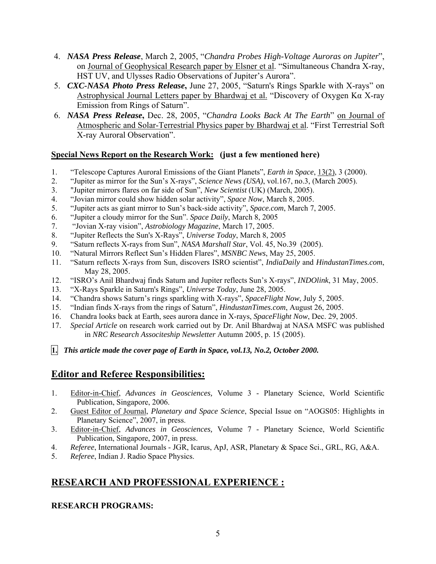- 4. *NASA Press Release*, March 2, 2005, "*Chandra Probes High-Voltage Auroras on Jupiter*", on Journal of Geophysical Research paper by Elsner et al. "Simultaneous Chandra X-ray, HST UV, and Ulysses Radio Observations of Jupiter's Aurora".
- 5. *CXC-NASA Photo Press Release***,** June 27, 2005, "Saturn's Rings Sparkle with X-rays" on Astrophysical Journal Letters paper by Bhardwaj et al. "Discovery of Oxygen Kα X-ray Emission from Rings of Saturn".
- 6. *NASA Press Release***,** Dec. 28, 2005, "*Chandra Looks Back At The Earth*" on Journal of Atmospheric and Solar-Terrestrial Physics paper by Bhardwaj et al. "First Terrestrial Soft X-ray Auroral Observation".

## **Special News Report on the Research Work: (just a few mentioned here)**

- 1. "Telescope Captures Auroral Emissions of the Giant Planets", *Earth in Space*, 13(2), 3 (2000).
- 2. "Jupiter as mirror for the Sun's X-rays", *Science News (USA)*, vol.167, no.3, (March 2005).
- 3. "Jupiter mirrors flares on far side of Sun", *New Scientist* (UK) (March, 2005).
- 4. "Jovian mirror could show hidden solar activity", *Space Now*, March 8, 2005.
- 5. "Jupiter acts as giant mirror to Sun's back-side activity", *Space.com*, March 7, 2005.
- 6. "Jupiter a cloudy mirror for the Sun". *Space Daily*, March 8, 2005
- 7. "Jovian X-ray vision", *Astrobiology Magazine*, March 17, 2005.
- 8. "Jupiter Reflects the Sun's X-Rays", *Universe Today*, March 8, 2005
- 9. "Saturn reflects X-rays from Sun", *NASA Marshall Star*, Vol. 45, No.39 (2005).
- 10. "Natural Mirrors Reflect Sun's Hidden Flares", *MSNBC News*, May 25, 2005.
- 11. "Saturn reflects X-rays from Sun, discovers ISRO scientist", *IndiaDaily* and *HindustanTimes.com*, May 28, 2005.
- 12. "ISRO's Anil Bhardwaj finds Saturn and Jupiter reflects Sun's X-rays", *INDOlink*, 31 May, 2005.
- 13. "X-Rays Sparkle in Saturn's Rings", *Universe Today*, June 28, 2005.
- 14. "Chandra shows Saturn's rings sparkling with X-rays", *SpaceFlight Now*, July 5, 2005.
- 15. "Indian finds X-rays from the rings of Saturn", *HindustanTimes.com*, August 26, 2005.
- 16. Chandra looks back at Earth, sees aurora dance in X-rays, *SpaceFlight Now*, Dec. 29, 2005.
- 17. *Special Article* on research work carried out by Dr. Anil Bhardwaj at NASA MSFC was published in *NRC Research Associteship Newsletter* Autumn 2005, p. 15 (2005).

**1.** *This article made the cover page of Earth in Space, vol.13, No.2, October 2000.*

# **Editor and Referee Responsibilities:**

- 1. Editor-in-Chief, *Advances in Geosciences,* Volume 3 Planetary Science, World Scientific Publication, Singapore, 2006.
- 2. Guest Editor of Journal, *Planetary and Space Science*, Special Issue on "AOGS05: Highlights in Planetary Science", 2007, in press.
- 3. Editor-in-Chief, *Advances in Geosciences,* Volume 7 Planetary Science, World Scientific Publication, Singapore, 2007, in press.
- 4. *Referee*, International Journals JGR, Icarus, ApJ, ASR, Planetary & Space Sci., GRL, RG, A&A.
- 5. *Referee*, Indian J. Radio Space Physics.

# **RESEARCH AND PROFESSIONAL EXPERIENCE :**

## **RESEARCH PROGRAMS:**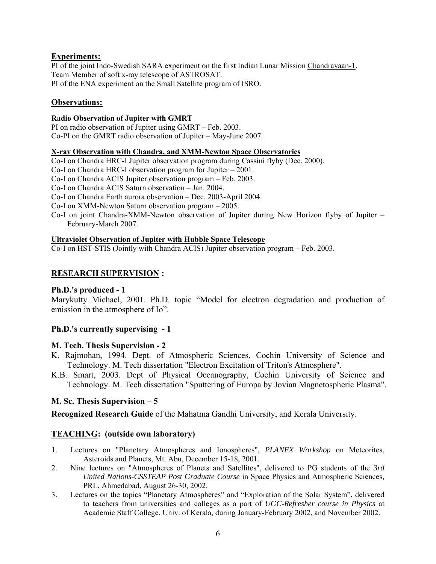#### **Experiments:**

PI of the joint Indo-Swedish SARA experiment on the first Indian Lunar Mission Chandrayaan-1. Team Member of soft x-ray telescope of ASTROSAT. PI of the ENA experiment on the Small Satellite program of ISRO.

#### **Observations:**

#### **Radio Observation of Jupiter with GMRT**

PI on radio observation of Jupiter using GMRT – Feb. 2003. Co-PI on the GMRT radio observation of Jupiter – May-June 2007.

#### **X-ray Observation with Chandra, and XMM-Newton Space Observatories**

Co-I on Chandra HRC-I Jupiter observation program during Cassini flyby (Dec. 2000).

Co-I on Chandra HRC-I observation program for Jupiter – 2001.

Co-I on Chandra ACIS Jupiter observation program – Feb. 2003.

Co-I on Chandra ACIS Saturn observation – Jan. 2004.

Co-I on Chandra Earth aurora observation – Dec. 2003-April 2004.

Co-I on XMM-Newton Saturn observation program – 2005.

Co-I on joint Chandra-XMM-Newton observation of Jupiter during New Horizon flyby of Jupiter – February-March 2007.

#### **Ultraviolet Observation of Jupiter with Hubble Space Telescope**

Co-I on HST-STIS (Jointly with Chandra ACIS) Jupiter observation program – Feb. 2003.

### **RESEARCH SUPERVISION :**

#### **Ph.D.'s produced - 1**

Marykutty Michael, 2001. Ph.D. topic "Model for electron degradation and production of emission in the atmosphere of Io".

#### **Ph.D.'s currently supervising - 1**

#### **M. Tech. Thesis Supervision - 2**

- K. Rajmohan, 1994. Dept. of Atmospheric Sciences, Cochin University of Science and Technology. M. Tech dissertation "Electron Excitation of Triton's Atmosphere".
- K.B. Smart, 2003. Dept of Physical Oceanography, Cochin University of Science and Technology. M. Tech dissertation "Sputtering of Europa by Jovian Magnetospheric Plasma".

#### **M. Sc. Thesis Supervision – 5**

**Recognized Research Guide** of the Mahatma Gandhi University, and Kerala University.

## **TEACHING: (outside own laboratory)**

- 1. Lectures on "Planetary Atmospheres and Ionospheres", *PLANEX Workshop* on Meteorites, Asteroids and Planets, Mt. Abu, December 15-18, 2001.
- 2. Nine lectures on "Atmospheres of Planets and Satellites", delivered to PG students of the *3rd United Nations-CSSTEAP Post Graduate Course* in Space Physics and Atmospheric Sciences, PRL, Ahmedabad, August 26-30, 2002.
- 3. Lectures on the topics "Planetary Atmospheres" and "Exploration of the Solar System", delivered to teachers from universities and colleges as a part of *UGC-Refresher course in Physics* at Academic Staff College, Univ. of Kerala, during January-February 2002, and November 2002.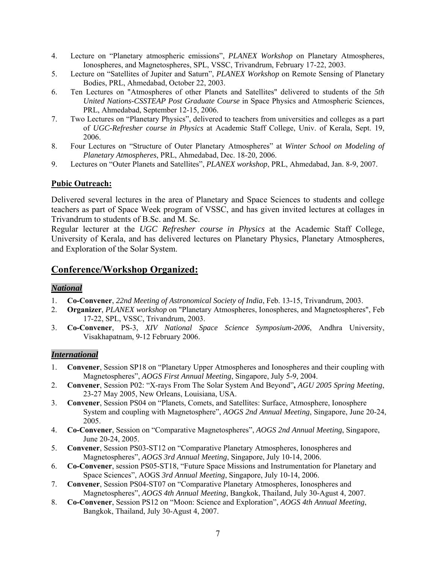- 4. Lecture on "Planetary atmospheric emissions", *PLANEX Workshop* on Planetary Atmospheres, Ionospheres, and Magnetospheres, SPL, VSSC, Trivandrum, February 17-22, 2003.
- 5. Lecture on "Satellites of Jupiter and Saturn", *PLANEX Workshop* on Remote Sensing of Planetary Bodies, PRL, Ahmedabad, October 22, 2003.
- 6. Ten Lectures on "Atmospheres of other Planets and Satellites" delivered to students of the *5th United Nations-CSSTEAP Post Graduate Course* in Space Physics and Atmospheric Sciences, PRL, Ahmedabad, September 12-15, 2006.
- 7. Two Lectures on "Planetary Physics", delivered to teachers from universities and colleges as a part of *UGC-Refresher course in Physics* at Academic Staff College, Univ. of Kerala, Sept. 19, 2006.
- 8. Four Lectures on "Structure of Outer Planetary Atmospheres" at *Winter School on Modeling of Planetary Atmospheres*, PRL, Ahmedabad, Dec. 18-20, 2006.
- 9. Lectures on "Outer Planets and Satellites", *PLANEX workshop*, PRL, Ahmedabad, Jan. 8-9, 2007.

## **Pubic Outreach:**

Delivered several lectures in the area of Planetary and Space Sciences to students and college teachers as part of Space Week program of VSSC, and has given invited lectures at collages in Trivandrum to students of B.Sc. and M. Sc.

Regular lecturer at the *UGC Refresher course in Physics* at the Academic Staff College, University of Kerala, and has delivered lectures on Planetary Physics, Planetary Atmospheres, and Exploration of the Solar System.

# **Conference/Workshop Organized:**

#### *National*

- 1. **Co-Convener**, *22nd Meeting of Astronomical Society of India*, Feb. 13-15, Trivandrum, 2003.
- 2. **Organizer**, *PLANEX workshop* on "Planetary Atmospheres, Ionospheres, and Magnetospheres", Feb 17-22, SPL, VSSC, Trivandrum, 2003.
- 3. **Co-Convener**, PS-3, *XIV National Space Science Symposium-2006*, Andhra University, Visakhapatnam, 9-12 February 2006.

## *International*

- 1. **Convener**, Session SP18 on "Planetary Upper Atmospheres and Ionospheres and their coupling with Magnetospheres", *AOGS First Annual Meeting*, Singapore, July 5-9, 2004.
- 2. **Convener**, Session P02: "X-rays From The Solar System And Beyond"**,** *AGU 2005 Spring Meeting*, 23-27 May 2005, New Orleans, Louisiana, USA.
- 3. **Convener**, Session PS04 on "Planets, Comets, and Satellites: Surface, Atmosphere, Ionosphere System and coupling with Magnetosphere", *AOGS 2nd Annual Meeting*, Singapore, June 20-24, 2005.
- 4. **Co-Convener**, Session on "Comparative Magnetospheres", *AOGS 2nd Annual Meeting*, Singapore, June 20-24, 2005.
- 5. **Convener**, Session PS03-ST12 on "Comparative Planetary Atmospheres, Ionospheres and Magnetospheres", *AOGS 3rd Annual Meeting*, Singapore, July 10-14, 2006.
- 6. **Co-Convener**, session PS05-ST18, "Future Space Missions and Instrumentation for Planetary and Space Sciences", AOGS *3rd Annual Meeting*, Singapore, July 10-14, 2006.
- 7. **Convener**, Session PS04-ST07 on "Comparative Planetary Atmospheres, Ionospheres and Magnetospheres", *AOGS 4th Annual Meeting*, Bangkok, Thailand, July 30-Agust 4, 2007.
- 8. **Co-Convener**, Session PS12 on "Moon: Science and Exploration", *AOGS 4th Annual Meeting*, Bangkok, Thailand, July 30-Agust 4, 2007.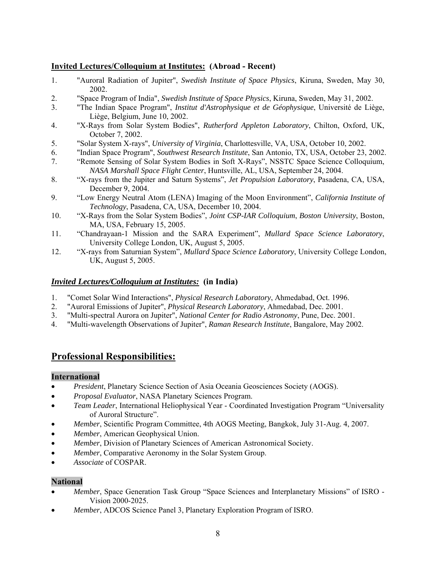### **Invited Lectures/Colloquium at Institutes: (Abroad - Recent)**

- 1. "Auroral Radiation of Jupiter", *Swedish Institute of Space Physics*, Kiruna, Sweden, May 30, 2002.
- 2. "Space Program of India", *Swedish Institute of Space Physics*, Kiruna, Sweden, May 31, 2002.
- 3. "The Indian Space Program", *Institut d'Astrophysique et de Géophysique*, Université de Liège, Liège, Belgium, June 10, 2002.
- 4. "X-Rays from Solar System Bodies", *Rutherford Appleton Laboratory*, Chilton, Oxford, UK, October 7, 2002.
- 5. "Solar System X-rays", *University of Virginia*, Charlottesville, VA, USA, October 10, 2002.
- 6. "Indian Space Program", *Southwest Research Institute*, San Antonio, TX, USA, October 23, 2002.
- 7. "Remote Sensing of Solar System Bodies in Soft X-Rays", NSSTC Space Science Colloquium, *NASA Marshall Space Flight Center*, Huntsville, AL, USA, September 24, 2004.
- 8. "X-rays from the Jupiter and Saturn Systems", *Jet Propulsion Laboratory*, Pasadena, CA, USA, December 9, 2004.
- 9. "Low Energy Neutral Atom (LENA) Imaging of the Moon Environment", *California Institute of Technology*, Pasadena, CA, USA, December 10, 2004.
- 10. "X-Rays from the Solar System Bodies", *Joint CSP-IAR Colloquium*, *Boston University*, Boston, MA, USA, February 15, 2005.
- 11. "Chandrayaan-1 Mission and the SARA Experiment", *Mullard Space Science Laboratory*, University College London, UK, August 5, 2005.
- 12. "X-rays from Saturnian System", *Mullard Space Science Laboratory*, University College London, UK, August 5, 2005.

### *Invited Lectures/Colloquium at Institutes:* **(in India)**

- 1. "Comet Solar Wind Interactions", *Physical Research Laboratory*, Ahmedabad, Oct. 1996.
- 2. "Auroral Emissions of Jupiter", *Physical Research Laboratory*, Ahmedabad, Dec. 2001.
- 3. "Multi-spectral Aurora on Jupiter", *National Center for Radio Astronomy*, Pune, Dec. 2001.
- 4. "Multi-wavelength Observations of Jupiter", *Raman Research Institute*, Bangalore, May 2002.

# **Professional Responsibilities:**

#### **International**

- *President*, Planetary Science Section of Asia Oceania Geosciences Society (AOGS).
- *Proposal Evaluator*, NASA Planetary Sciences Program.
- *Team Leader*, International Heliophysical Year Coordinated Investigation Program "Universality of Auroral Structure".
- *Member*, Scientific Program Committee, 4th AOGS Meeting, Bangkok, July 31-Aug. 4, 2007.
- *Member*, American Geophysical Union.
- *Member*, Division of Planetary Sciences of American Astronomical Society.
- *Member*, Comparative Aeronomy in the Solar System Group.
- *Associate* of COSPAR.

#### **National**

- *Member*, Space Generation Task Group "Space Sciences and Interplanetary Missions" of ISRO Vision 2000-2025.
- *Member*, ADCOS Science Panel 3, Planetary Exploration Program of ISRO.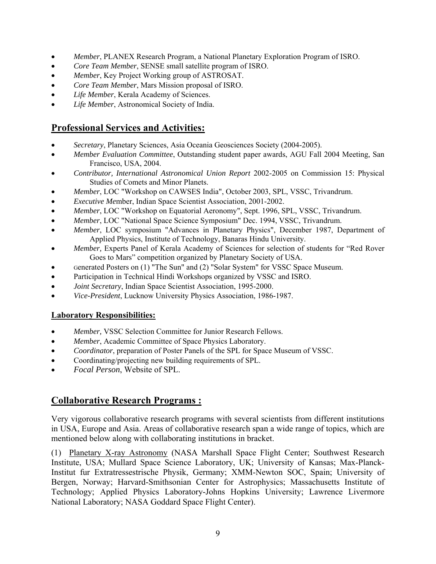- *Member*, PLANEX Research Program, a National Planetary Exploration Program of ISRO.
- *Core Team Member*, SENSE small satellite program of ISRO.
- *Member*, Key Project Working group of ASTROSAT.
- *Core Team Member*, Mars Mission proposal of ISRO.
- *Life Member*, Kerala Academy of Sciences.
- *Life Member*, Astronomical Society of India.

# **Professional Services and Activities:**

- *Secretary*, Planetary Sciences, Asia Oceania Geosciences Society (2004-2005).
- *Member Evaluation Committee*, Outstanding student paper awards, AGU Fall 2004 Meeting, San Francisco, USA, 2004.
- *Contributor, International Astronomical Union Report* 2002-2005 on Commission 15: Physical Studies of Comets and Minor Planets.
- *Member*, LOC "Workshop on CAWSES India", October 2003, SPL, VSSC, Trivandrum.
- *Executive Me*mber, Indian Space Scientist Association, 2001-2002.
- *Member*, LOC "Workshop on Equatorial Aeronomy", Sept. 1996, SPL, VSSC, Trivandrum.
- *Member*, LOC "National Space Science Symposium" Dec. 1994, VSSC, Trivandrum.
- *Member*, LOC symposium "Advances in Planetary Physics", December 1987, Department of Applied Physics, Institute of Technology, Banaras Hindu University.
- *Member,* Experts Panel of Kerala Academy of Sciences for selection of students for "Red Rover Goes to Mars" competition organized by Planetary Society of USA.
- Generated Posters on (1) "The Sun" and (2) "Solar System" for VSSC Space Museum.
- Participation in Technical Hindi Workshops organized by VSSC and ISRO.
- *Joint Secretary*, Indian Space Scientist Association, 1995-2000.
- *Vice-President*, Lucknow University Physics Association, 1986-1987.

## **Laboratory Responsibilities:**

- *Member,* VSSC Selection Committee for Junior Research Fellows.
- *Member*, Academic Committee of Space Physics Laboratory.
- *Coordinator*, preparation of Poster Panels of the SPL for Space Museum of VSSC.
- Coordinating/projecting new building requirements of SPL.
- *Focal Person*, Website of SPL.

# **Collaborative Research Programs :**

Very vigorous collaborative research programs with several scientists from different institutions in USA, Europe and Asia. Areas of collaborative research span a wide range of topics, which are mentioned below along with collaborating institutions in bracket.

(1) Planetary X-ray Astronomy (NASA Marshall Space Flight Center; Southwest Research Institute, USA; Mullard Space Science Laboratory, UK; University of Kansas; Max-Planck-Institut fur Extratressestrische Physik, Germany; XMM-Newton SOC, Spain; University of Bergen, Norway; Harvard-Smithsonian Center for Astrophysics; Massachusetts Institute of Technology; Applied Physics Laboratory-Johns Hopkins University; Lawrence Livermore National Laboratory; NASA Goddard Space Flight Center).